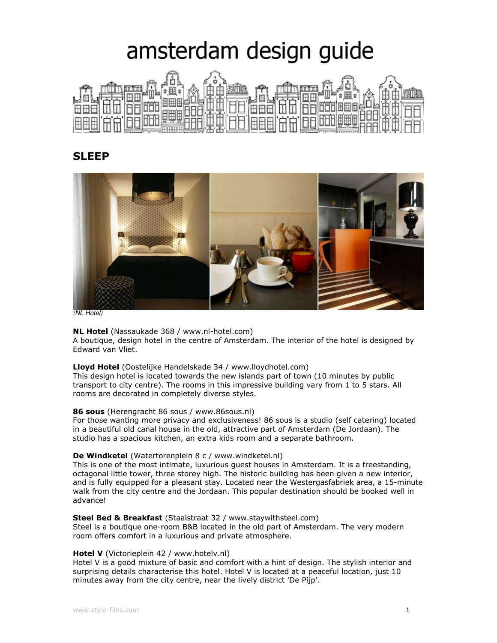# amsterdam design guide



# SLEEP



(NL Hotel)

# NL Hotel (Nassaukade 368 / www.nl-hotel.com)

A boutique, design hotel in the centre of Amsterdam. The interior of the hotel is designed by Edward van Vliet.

# Lloyd Hotel (Oostelijke Handelskade 34 / www.lloydhotel.com)

This design hotel is located towards the new islands part of town (10 minutes by public transport to city centre). The rooms in this impressive building vary from 1 to 5 stars. All rooms are decorated in completely diverse styles.

#### 86 sous (Herengracht 86 sous / www.86sous.nl)

For those wanting more privacy and exclusiveness! 86 sous is a studio (self catering) located in a beautiful old canal house in the old, attractive part of Amsterdam (De Jordaan). The studio has a spacious kitchen, an extra kids room and a separate bathroom.

# De Windketel (Watertorenplein 8 c / www.windketel.nl)

This is one of the most intimate, luxurious guest houses in Amsterdam. It is a freestanding, octagonal little tower, three storey high. The historic building has been given a new interior, and is fully equipped for a pleasant stay. Located near the Westergasfabriek area, a 15-minute walk from the city centre and the Jordaan. This popular destination should be booked well in advance!

#### Steel Bed & Breakfast (Staalstraat 32 / www.staywithsteel.com)

Steel is a boutique one-room B&B located in the old part of Amsterdam. The very modern room offers comfort in a luxurious and private atmosphere.

#### Hotel V (Victorieplein 42 / www.hotelv.nl)

Hotel V is a good mixture of basic and comfort with a hint of design. The stylish interior and surprising details characterise this hotel. Hotel V is located at a peaceful location, just 10 minutes away from the city centre, near the lively district 'De Pijp'.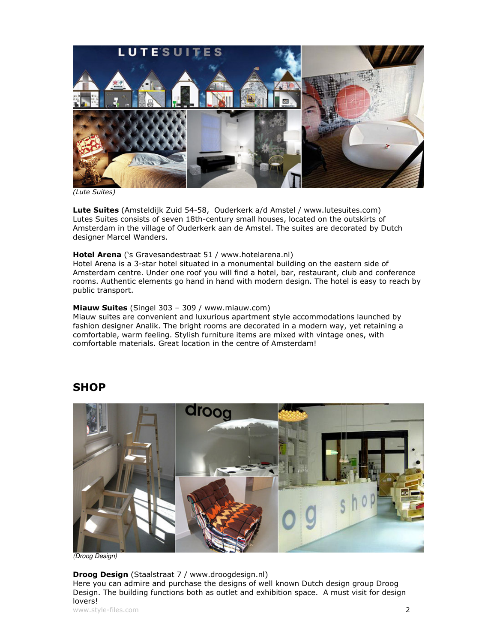

(Lute Suites)

Lute Suites (Amsteldijk Zuid 54-58, Ouderkerk a/d Amstel / www.lutesuites.com) Lutes Suites consists of seven 18th-century small houses, located on the outskirts of Amsterdam in the village of Ouderkerk aan de Amstel. The suites are decorated by Dutch designer Marcel Wanders.

## Hotel Arena ('s Gravesandestraat 51 / www.hotelarena.nl)

Hotel Arena is a 3-star hotel situated in a monumental building on the eastern side of Amsterdam centre. Under one roof you will find a hotel, bar, restaurant, club and conference rooms. Authentic elements go hand in hand with modern design. The hotel is easy to reach by public transport.

# Miauw Suites (Singel 303 - 309 / www.miauw.com)

Miauw suites are convenient and luxurious apartment style accommodations launched by fashion designer Analik. The bright rooms are decorated in a modern way, yet retaining a comfortable, warm feeling. Stylish furniture items are mixed with vintage ones, with comfortable materials. Great location in the centre of Amsterdam!

# **SHOP**



(Droog Design)

#### Droog Design (Staalstraat 7 / www.droogdesign.nl)

Here you can admire and purchase the designs of well known Dutch design group Droog Design. The building functions both as outlet and exhibition space. A must visit for design lovers!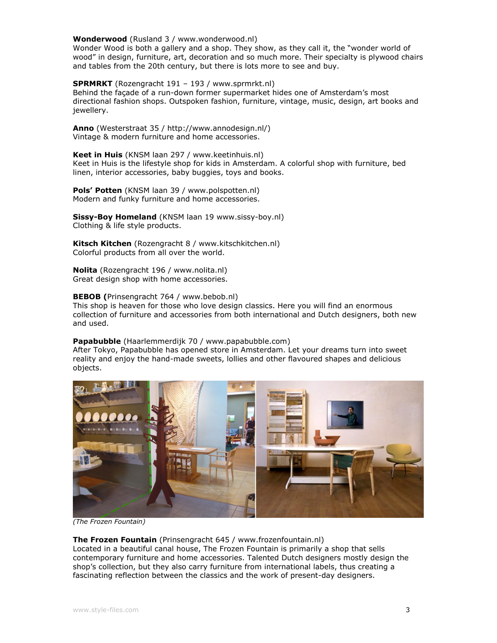#### Wonderwood (Rusland 3 / www.wonderwood.nl)

Wonder Wood is both a gallery and a shop. They show, as they call it, the "wonder world of wood" in design, furniture, art, decoration and so much more. Their specialty is plywood chairs and tables from the 20th century, but there is lots more to see and buy.

SPRMRKT (Rozengracht 191 – 193 / www.sprmrkt.nl) Behind the façade of a run-down former supermarket hides one of Amsterdam's most directional fashion shops. Outspoken fashion, furniture, vintage, music, design, art books and jewellery.

Anno (Westerstraat 35 / http://www.annodesign.nl/) Vintage & modern furniture and home accessories.

Keet in Huis (KNSM laan 297 / www.keetinhuis.nl) Keet in Huis is the lifestyle shop for kids in Amsterdam. A colorful shop with furniture, bed linen, interior accessories, baby buggies, toys and books.

Pols' Potten (KNSM laan 39 / www.polspotten.nl) Modern and funky furniture and home accessories.

Sissy-Boy Homeland (KNSM laan 19 www.sissy-boy.nl) Clothing & life style products.

Kitsch Kitchen (Rozengracht 8 / www.kitschkitchen.nl) Colorful products from all over the world.

Nolita (Rozengracht 196 / www.nolita.nl) Great design shop with home accessories.

BEBOB (Prinsengracht 764 / www.bebob.nl) This shop is heaven for those who love design classics. Here you will find an enormous collection of furniture and accessories from both international and Dutch designers, both new and used.

#### Papabubble (Haarlemmerdijk 70 / www.papabubble.com)

After Tokyo, Papabubble has opened store in Amsterdam. Let your dreams turn into sweet reality and enjoy the hand-made sweets, lollies and other flavoured shapes and delicious objects.



(The Frozen Fountain)

#### The Frozen Fountain (Prinsengracht 645 / www.frozenfountain.nl)

Located in a beautiful canal house, The Frozen Fountain is primarily a shop that sells contemporary furniture and home accessories. Talented Dutch designers mostly design the shop's collection, but they also carry furniture from international labels, thus creating a fascinating reflection between the classics and the work of present-day designers.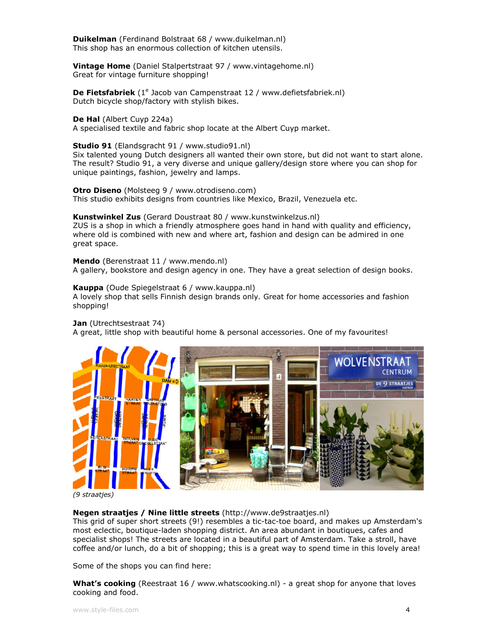Duikelman (Ferdinand Bolstraat 68 / www.duikelman.nl) This shop has an enormous collection of kitchen utensils.

Vintage Home (Daniel Stalpertstraat 97 / www.vintagehome.nl) Great for vintage furniture shopping!

De Fietsfabriek (1<sup>e</sup> Jacob van Campenstraat 12 / www.defietsfabriek.nl) Dutch bicycle shop/factory with stylish bikes.

De Hal (Albert Cuyp 224a)

A specialised textile and fabric shop locate at the Albert Cuyp market.

#### Studio 91 (Elandsgracht 91 / www.studio91.nl)

Six talented young Dutch designers all wanted their own store, but did not want to start alone. The result? Studio 91, a very diverse and unique gallery/design store where you can shop for unique paintings, fashion, jewelry and lamps.

Otro Diseno (Molsteeg 9 / www.otrodiseno.com) This studio exhibits designs from countries like Mexico, Brazil, Venezuela etc.

Kunstwinkel Zus (Gerard Doustraat 80 / www.kunstwinkelzus.nl)

ZUS is a shop in which a friendly atmosphere goes hand in hand with quality and efficiency, where old is combined with new and where art, fashion and design can be admired in one great space.

Mendo (Berenstraat 11 / www.mendo.nl) A gallery, bookstore and design agency in one. They have a great selection of design books.

#### Kauppa (Oude Spiegelstraat 6 / www.kauppa.nl)

A lovely shop that sells Finnish design brands only. Great for home accessories and fashion shopping!

Jan (Utrechtsestraat 74)

A great, little shop with beautiful home & personal accessories. One of my favourites!



(9 straatjes)

#### Negen straatjes / Nine little streets (http://www.de9straatjes.nl)

This grid of super short streets (9!) resembles a tic-tac-toe board, and makes up Amsterdam's most eclectic, boutique-laden shopping district. An area abundant in boutiques, cafes and specialist shops! The streets are located in a beautiful part of Amsterdam. Take a stroll, have coffee and/or lunch, do a bit of shopping; this is a great way to spend time in this lovely area!

Some of the shops you can find here:

What's cooking (Reestraat 16 / www.whatscooking.nl) - a great shop for anyone that loves cooking and food.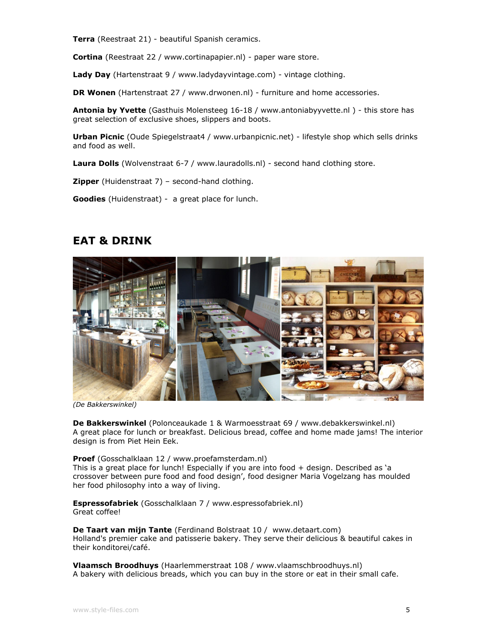Terra (Reestraat 21) - beautiful Spanish ceramics.

Cortina (Reestraat 22 / www.cortinapapier.nl) - paper ware store.

Lady Day (Hartenstraat 9 / www.ladydayvintage.com) - vintage clothing.

**DR Wonen** (Hartenstraat 27 / www.drwonen.nl) - furniture and home accessories.

Antonia by Yvette (Gasthuis Molensteeg 16-18 / www.antoniabyyvette.nl) - this store has great selection of exclusive shoes, slippers and boots.

Urban Picnic (Oude Spiegelstraat4 / www.urbanpicnic.net) - lifestyle shop which sells drinks and food as well.

Laura Dolls (Wolvenstraat 6-7 / www.lauradolls.nl) - second hand clothing store.

**Zipper** (Huidenstraat 7) - second-hand clothing.

Goodies (Huidenstraat) - a great place for lunch.

# EAT & DRINK



(De Bakkerswinkel)

De Bakkerswinkel (Polonceaukade 1 & Warmoesstraat 69 / www.debakkerswinkel.nl) A great place for lunch or breakfast. Delicious bread, coffee and home made jams! The interior design is from Piet Hein Eek.

Proef (Gosschalklaan 12 / www.proefamsterdam.nl) This is a great place for lunch! Especially if you are into food + design. Described as 'a crossover between pure food and food design', food designer Maria Vogelzang has moulded her food philosophy into a way of living.

Espressofabriek (Gosschalklaan 7 / www.espressofabriek.nl) Great coffee!

De Taart van mijn Tante (Ferdinand Bolstraat 10 / www.detaart.com) Holland's premier cake and patisserie bakery. They serve their delicious & beautiful cakes in their konditorei/café.

Vlaamsch Broodhuys (Haarlemmerstraat 108 / www.vlaamschbroodhuys.nl) A bakery with delicious breads, which you can buy in the store or eat in their small cafe.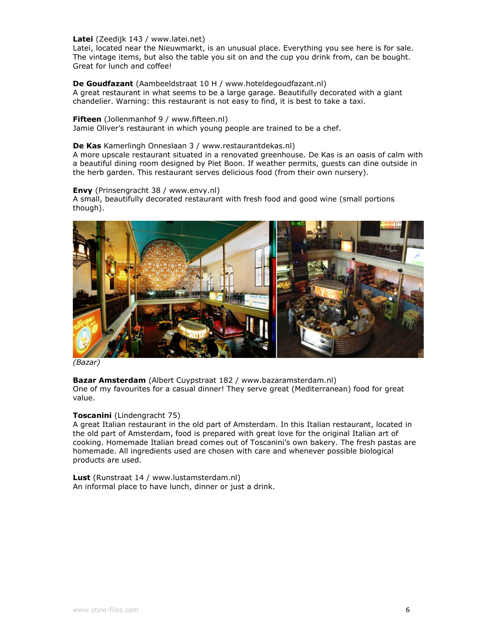Latei (Zeedijk 143 / www.latei.net)

Latei, located near the Nieuwmarkt, is an unusual place. Everything you see here is for sale. The vintage items, but also the table you sit on and the cup you drink from, can be bought. Great for lunch and coffee!

De Goudfazant (Aambeeldstraat 10 H / www.hoteldegoudfazant.nl) A great restaurant in what seems to be a large garage. Beautifully decorated with a giant chandelier. Warning: this restaurant is not easy to find, it is best to take a taxi.

Fifteen (Jollenmanhof 9 / www.fifteen.nl)

Jamie Oliver's restaurant in which young people are trained to be a chef.

#### De Kas Kamerlingh Onneslaan 3 / www.restaurantdekas.nl)

A more upscale restaurant situated in a renovated greenhouse. De Kas is an oasis of calm with a beautiful dining room designed by Piet Boon. If weather permits, guests can dine outside in the herb garden. This restaurant serves delicious food (from their own nursery).

Envy (Prinsengracht 38 / www.envy.nl)

A small, beautifully decorated restaurant with fresh food and good wine (small portions though).



(Bazar)

Bazar Amsterdam (Albert Cuypstraat 182 / www.bazaramsterdam.nl) One of my favourites for a casual dinner! They serve great (Mediterranean) food for great value.

#### Toscanini (Lindengracht 75)

A great Italian restaurant in the old part of Amsterdam. In this Italian restaurant, located in the old part of Amsterdam, food is prepared with great love for the original Italian art of cooking. Homemade Italian bread comes out of Toscanini's own bakery. The fresh pastas are homemade. All ingredients used are chosen with care and whenever possible biological products are used.

Lust (Runstraat 14 / www.lustamsterdam.nl) An informal place to have lunch, dinner or just a drink.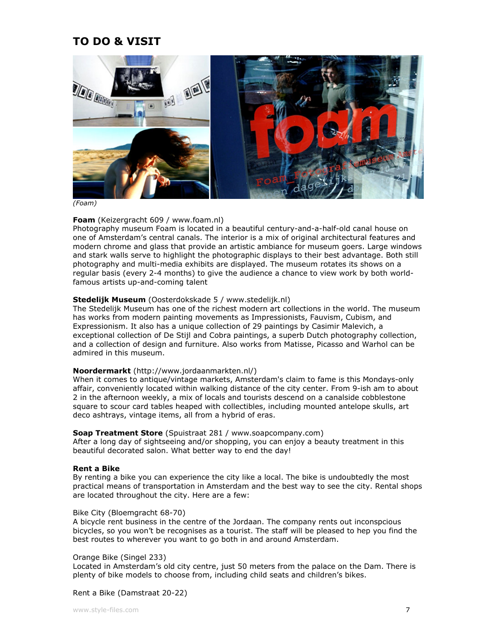# TO DO & VISIT



(Foam)

## Foam (Keizergracht 609 / www.foam.nl)

Photography museum Foam is located in a beautiful century-and-a-half-old canal house on one of Amsterdam's central canals. The interior is a mix of original architectural features and modern chrome and glass that provide an artistic ambiance for museum goers. Large windows and stark walls serve to highlight the photographic displays to their best advantage. Both still photography and multi-media exhibits are displayed. The museum rotates its shows on a regular basis (every 2-4 months) to give the audience a chance to view work by both worldfamous artists up-and-coming talent

## Stedelijk Museum (Oosterdokskade 5 / www.stedelijk.nl)

The Stedelijk Museum has one of the richest modern art collections in the world. The museum has works from modern painting movements as Impressionists, Fauvism, Cubism, and Expressionism. It also has a unique collection of 29 paintings by Casimir Malevich, a exceptional collection of De Stijl and Cobra paintings, a superb Dutch photography collection, and a collection of design and furniture. Also works from Matisse, Picasso and Warhol can be admired in this museum.

## Noordermarkt (http://www.jordaanmarkten.nl/)

When it comes to antique/vintage markets, Amsterdam's claim to fame is this Mondays-only affair, conveniently located within walking distance of the city center. From 9-ish am to about 2 in the afternoon weekly, a mix of locals and tourists descend on a canalside cobblestone square to scour card tables heaped with collectibles, including mounted antelope skulls, art deco ashtrays, vintage items, all from a hybrid of eras.

### Soap Treatment Store (Spuistraat 281 / www.soapcompany.com)

After a long day of sightseeing and/or shopping, you can enjoy a beauty treatment in this beautiful decorated salon. What better way to end the day!

#### Rent a Bike

By renting a bike you can experience the city like a local. The bike is undoubtedly the most practical means of transportation in Amsterdam and the best way to see the city. Rental shops are located throughout the city. Here are a few:

#### Bike City (Bloemgracht 68-70)

A bicycle rent business in the centre of the Jordaan. The company rents out inconspcious bicycles, so you won't be recognises as a tourist. The staff will be pleased to hep you find the best routes to wherever you want to go both in and around Amsterdam.

#### Orange Bike (Singel 233)

Located in Amsterdam's old city centre, just 50 meters from the palace on the Dam. There is plenty of bike models to choose from, including child seats and children's bikes.

#### Rent a Bike (Damstraat 20-22)